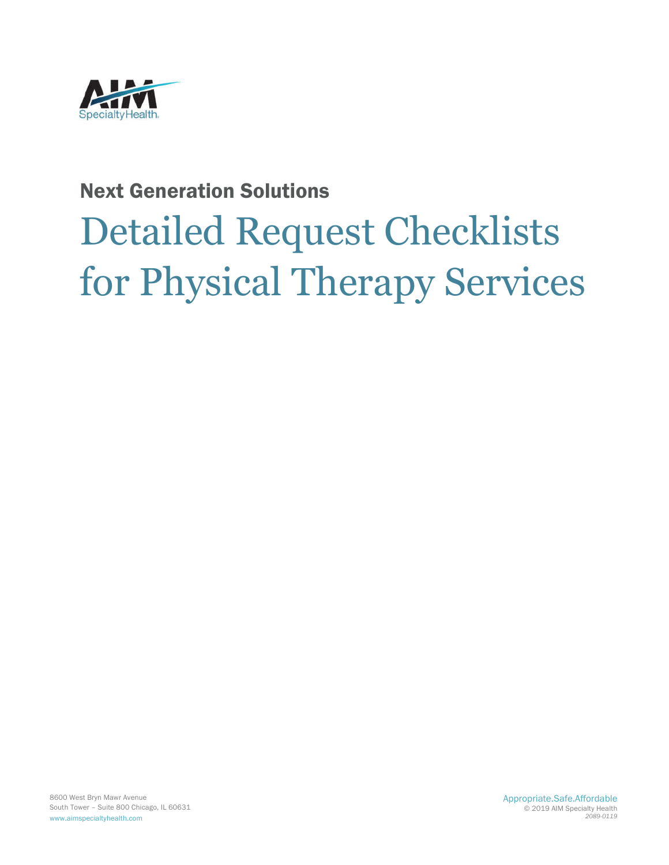

## Next Generation Solutions

# Detailed Request Checklists for Physical Therapy Services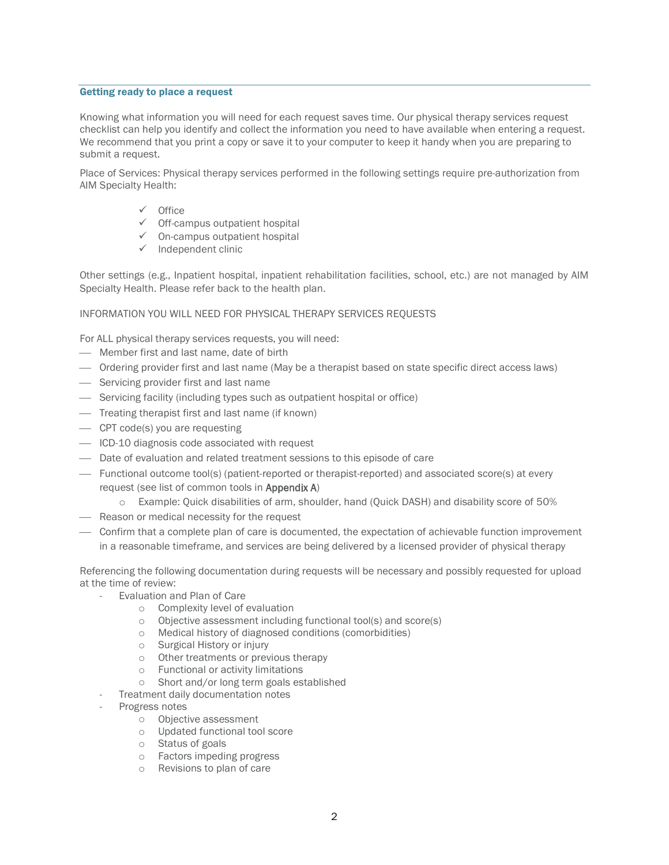#### Getting ready to place a request

Knowing what information you will need for each request saves time. Our physical therapy services request checklist can help you identify and collect the information you need to have available when entering a request. We recommend that you print a copy or save it to your computer to keep it handy when you are preparing to submit a request.

Place of Services: Physical therapy services performed in the following settings require pre-authorization from AIM Specialty Health:

- $\checkmark$  Office
- $\checkmark$  Off-campus outpatient hospital
- $\checkmark$  On-campus outpatient hospital
- $\checkmark$  Independent clinic

Other settings (e.g., Inpatient hospital, inpatient rehabilitation facilities, school, etc.) are not managed by AIM Specialty Health. Please refer back to the health plan.

#### INFORMATION YOU WILL NEED FOR PHYSICAL THERAPY SERVICES REQUESTS

For ALL physical therapy services requests, you will need:

- Member first and last name, date of birth
- Ordering provider first and last name (May be a therapist based on state specific direct access laws)
- $-$  Servicing provider first and last name
- Servicing facility (including types such as outpatient hospital or office)
- Treating therapist first and last name (if known)
- CPT code(s) you are requesting
- ICD-10 diagnosis code associated with request
- Date of evaluation and related treatment sessions to this episode of care
- Functional outcome tool(s) (patient-reported or therapist-reported) and associated score(s) at every request (see list of common tools in Appendix A)
	- o Example: Quick disabilities of arm, shoulder, hand (Quick DASH) and disability score of 50%
- Reason or medical necessity for the request
- Confirm that a complete plan of care is documented, the expectation of achievable function improvement in a reasonable timeframe, and services are being delivered by a licensed provider of physical therapy

Referencing the following documentation during requests will be necessary and possibly requested for upload at the time of review:

- Evaluation and Plan of Care
	- o Complexity level of evaluation
	- o Objective assessment including functional tool(s) and score(s)
	- o Medical history of diagnosed conditions (comorbidities)
	- o Surgical History or injury
	- o Other treatments or previous therapy
	- o Functional or activity limitations
	- o Short and/or long term goals established
- Treatment daily documentation notes
- Progress notes
	- o Objective assessment
	- o Updated functional tool score
	- o Status of goals
	- o Factors impeding progress
	- o Revisions to plan of care